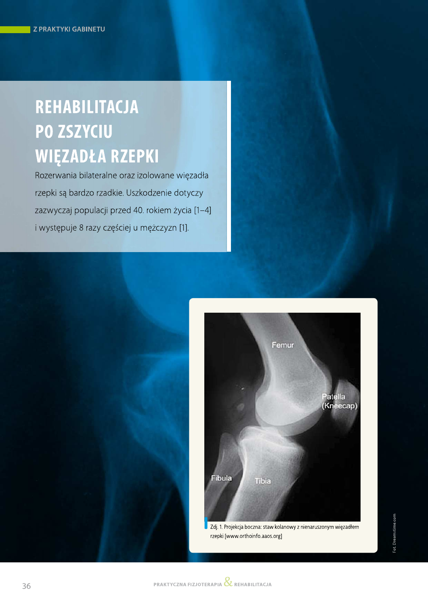# REHABILITACJA PO ZSZYCIU **WIĘZADŁA RZEPKI**

Rozerwania bilateralne oraz izolowane więzadła rzepki są bardzo rzadkie. Uszkodzenie dotyczy zazwyczaj populacji przed 40. rokiem życia [1-4] i występuje 8 razy częściej u mężczyzn [1].

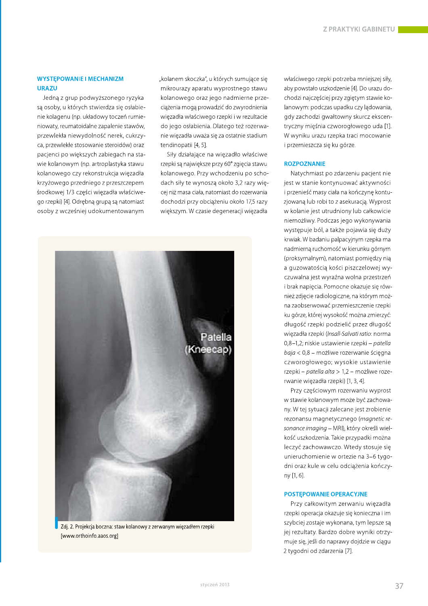## **WYSTEPOWANIE I MECHANIZM URAZU**

Jedną z grup podwyższonego ryzyka są osoby, u których stwierdza się osłabienie kolagenu (np. układowy toczeń rumieniowaty, reumatoidalne zapalenie stawów, przewlekła niewydolność nerek, cukrzyca, przewlekłe stosowanie steroidów) oraz pacjenci po większych zabiegach na stawie kolanowym (np. artroplastyka stawu kolanowego czy rekonstrukcja więzadła krzyżowego przedniego z przeszczepem środkowej 1/3 części więzadła właściwego rzepki) [4]. Odrębną grupą są natomiast osoby z wcześniej udokumentowanym

"kolanem skoczka", u których sumujące się mikrourazy aparatu wyprostnego stawu kolanowego oraz jego nadmierne przeciążenia mogą prowadzić do zwyrodnienia więzadła właściwego rzepki i w rezultacie do jego osłabienia. Dlatego też rozerwanie więzadła uważa się za ostatnie stadium tendinopatii [4, 5].

Siły działające na więzadło właściwe rzepki sa najwieksze przy 60° zgiecją stawu kolanowego. Przy wchodzeniu po schodach siły te wynoszą około 3,2 razy więcej niż masa ciała, natomiast do rozerwania dochodzi przy obciążeniu około 17,5 razy większym. W czasie degeneracji więzadła



Zdj. 2. Projekcja boczna: staw kolanowy z zerwanym więzadłem rzepki [www.orthoinfo.aaos.org]

właściwego rzepki potrzeba mniejszej siły, aby powstało uszkodzenie [4]. Do urazu dochodzi najczęściej przy zgiętym stawie kolanowym: podczas upadku czy lądowania, gdy zachodzi gwałtowny skurcz ekscentryczny mięśnia czworogłowego uda [1]. W wyniku urazu rzepka traci mocowanie i przemieszcza się ku górze.

## **ROZPOZNANIE**

Natychmiast po zdarzeniu pacjent nie jest w stanie kontynuować aktywności i przenieść masy ciała na kończynę kontuzjowaną lub robi to z asekuracją. Wyprost w kolanie jest utrudniony lub całkowicie niemożliwy. Podczas jego wykonywania występuje ból, a także pojawia się duży krwiak. W badaniu palpacyjnym rzepka ma nadmierną ruchomość w kierunku górnym (proksymalnym), natomiast pomiędzy nią a guzowatością kości piszczelowej wyczuwalna jest wyraźna wolna przestrzeń i brak napięcia. Pomocne okazuje się również zdjęcie radiologiczne, na którym można zaobserwować przemieszczenie rzepki ku górze, której wysokość można zmierzyć: długość rzepki podzielić przez długość więzadła rzepki (Insall-Salvati ratio: norma 0,8-1,2; niskie ustawienie rzepki - patella  $baja < 0.8$  – możliwe rozerwanie ścięgna czworogłowego; wysokie ustawienie rzepki - patella alta > 1,2 - możliwe rozerwanie więzadła rzepki) [1, 3, 4].

Przy częściowym rozerwaniu wyprost w stawie kolanowym może być zachowany. W tej sytuacji zalecane jest zrobienie rezonansu magnetycznego (magnetic resonance imaging - MRI), który określi wielkość uszkodzenia. Takie przypadki można leczyć zachowawczo. Wtedy stosuje się unieruchomienie w ortezie na 3-6 tygodni oraz kule w celu odciążenia kończyny [1, 6].

## **POSTEPOWANIE OPERACYJNE**

Przy całkowitym zerwaniu więzadła rzepki operacja okazuje się konieczna i im szybciej zostaje wykonana, tym lepsze są jej rezultaty. Bardzo dobre wyniki otrzymuje sie, jeśli do naprawy dojdzie w ciągu 2 tygodni od zdarzenia [7].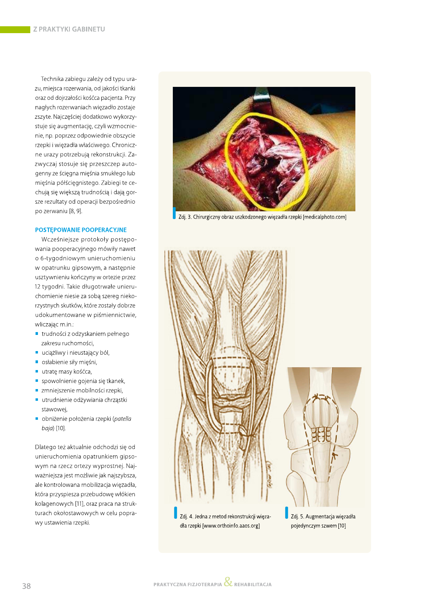Technika zabiegu zależy od typu urazu, miejsca rozerwania, od jakości tkanki oraz od dojrzałości kośćca pacjenta. Przy nagłych rozerwaniach więzadło zostaje zszyte. Najczęściej dodatkowo wykorzystuje się augmentację, czyli wzmocnienie, np. poprzez odpowiednie obszycie rzepki i więzadła właściwego. Chroniczne urazy potrzebują rekonstrukcji. Zazwyczaj stosuje się przeszczep autogenny ze ścięgna mięśnia smukłego lub mięśnia półścięgnistego. Zabiegi te cechują się większą trudnością i dają gorsze rezultaty od operacji bezpośrednio po zerwaniu [8, 9].

#### POSTEPOWANIE POOPERACYJNE

Wcześniejsze protokoły postępowania pooperacyjnego mówiły nawet o 6-tygodniowym unieruchomieniu w opatrunku gipsowym, a następnie usztywnieniu kończyny w ortezie przez 12 tygodni. Takie długotrwałe unieruchomienie niesie za sobą szereg niekorzystnych skutków, które zostały dobrze udokumentowane w piśmiennictwie, wliczając m.in.:

- trudności z odzyskaniem pełnego zakresu ruchomości,
- uciążliwy i nieustający ból,
- osłabienie siły mięśni,
- utratę masy kośćca,
- spowolnienie gojenia się tkanek,
- zmniejszenie mobilności rzepki,
- utrudnienie odżywiania chrząstki stawowej,
- · obniżenie położenia rzepki (patella baja) [10].

Dlatego też aktualnie odchodzi się od unieruchomienia opatrunkiem gipsowym na rzecz ortezy wyprostnej. Najważniejsza jest możliwie jak najszybsza, ale kontrolowana mobilizacja więzadła, która przyspiesza przebudowę włókien kolagenowych [11], oraz praca na strukturach okołostawowych w celu poprawy ustawienia rzepki.



Zdj. 3. Chirurgiczny obraz uszkodzonego więzadła rzepki [medicalphoto.com]

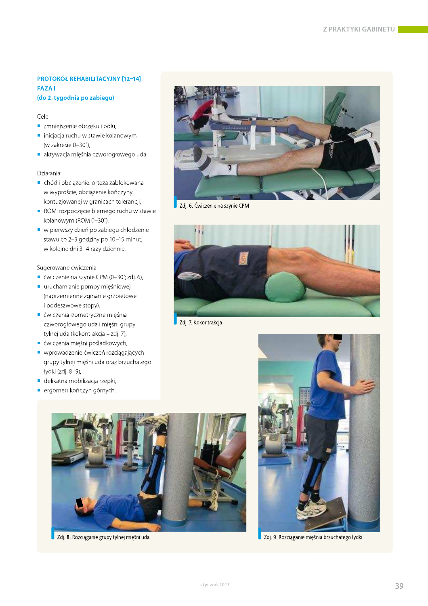# PROTOKÓŁ REHABILITACYJNY [12-14] **FAZAI**

(do 2. tygodnia po zabiegu)

Cele:

- zmniejszenie obrzęku i bólu,
- inicjacja ruchu w stawie kolanowym (w zakresie 0-30°),
- aktywacja mięśnia czworogłowego uda.

### Działania:

- chód i obciążenie: orteza zablokowana w wyproście, obciążenie kończyny kontuzjowanej w granicach tolerancji,
- ROM: rozpoczęcie biernego ruchu w stawie kolanowym (ROM 0-30°),
- w pierwszy dzień po zabiegu chłodzenie stawu co 2-3 godziny po 10-15 minut; w kolejne dni 3-4 razy dziennie.

- ćwiczenie na szynie CPM (0-30°; zdj. 6),
- uruchamianie pompy mięśniowej (naprzemienne zginanie grzbietowe i podeszwowe stopy),
- cwiczenia izometryczne mięśnia czworogłowego uda i mięśni grupy tylnej uda (kokontrakcja – zdj. 7),
- cwiczenia mięśni pośladkowych,
- wprowadzenie ćwiczeń rozciągających grupy tylnej mięśni uda oraz brzuchatego łydki (zdj. 8-9),
- delikatna mobilizacja rzepki,
- ergometr kończyn górnych.



Zdj. 6. Ćwiczenie na szynie CPM



Zdj. 7. Kokontrakcja



Zdj. 8. Rozciąganie grupy tylnej mięśni uda



Zdj. 9. Rozciąganie mięśnia brzuchatego łydki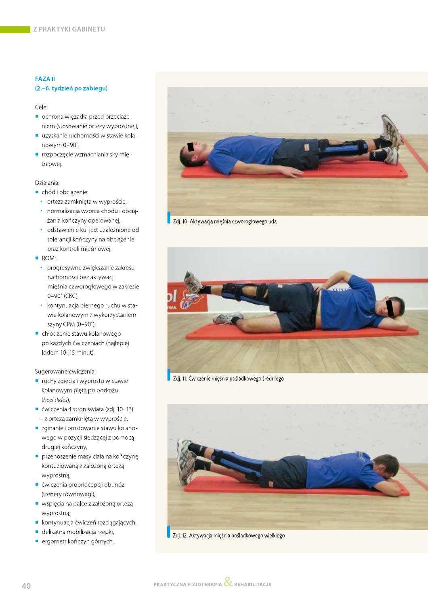# **FAZA II** (2.-6. tydzień po zabiegu)

Cele:

- ochrona więzadła przed przeciążeniem (stosowanie ortezy wyprostnej),
- uzyskanie ruchomości w stawie kolanowym 0-90°,
- rozpoczęcie wzmacniania siły mięśniowej.

Działania:

- chód i obciążenie:
	- · orteza zamknięta w wyproście,
	- · normalizacja wzorca chodu i obciążania kończyny operowanej,
- · odstawienie kul jest uzależnione od tolerancji kończyny na obciążenie oraz kontroli mieśniowej,

ROM:

- · progresywne zwiększanie zakresu ruchomości bez aktywacji mięśnia czworogłowego w zakresie 0-90° (CKC),
- · kontynuacja biernego ruchu w stawie kolanowym z wykorzystaniem szyny CPM (0-90°),
- chłodzenie stawu kolanowego po każdych ćwiczeniach (najlepiej lodem 10-15 minut).

- ruchy zgięcia i wyprostu w stawie kolanowym piętą po podłożu (heel slides),
- ćwiczenia 4 stron świata (zdj. 10-13) - z ortezą zamkniętą w wyproście,
- zginanie i prostowanie stawu kolanowego w pozycji siedzącej z pomocą drugiej kończyny,
- przenoszenie masy ciała na kończynę kontuzjowaną z założoną ortezą wyprostną,
- ćwiczenia propriocepcji obunóż (trenery równowagi),
- wspięcia na palce z założoną ortezą wyprostną,
- kontynuacja ćwiczeń rozciągających,
- delikatna mobilizacja rzepki,
- ergometr kończyn górnych.



Zdj. 10. Aktywacja mięśnia czworogłowego uda



Zdj. 11. Ćwiczenie mięśnia pośladkowego średniego



Zdj. 12. Aktywacja mięśnia pośladkowego wielkiego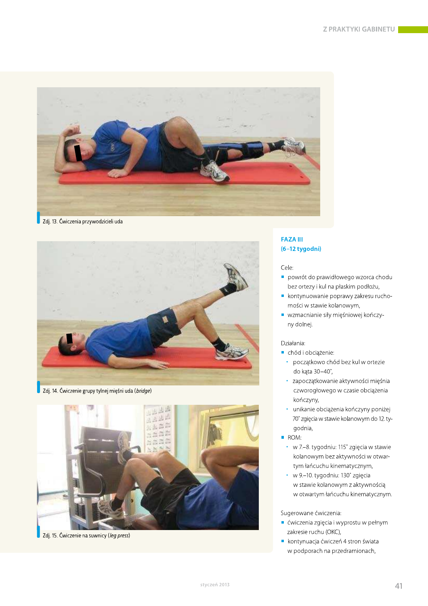

Zdj. 13. Ćwiczenia przywodzicieli uda



Zdj. 14. Ćwiczenie grupy tylnej mięśni uda (bridge)



Zdj. 15. Ćwiczenie na suwnicy (leg press)

# **FAZA III**  $(6-12$  tygodni)

#### Cele:

- powrót do prawidłowego wzorca chodu bez ortezy i kul na płaskim podłożu,
- kontynuowanie poprawy zakresu ruchomości w stawie kolanowym,
- vzmacnianie siły mięśniowej kończyny dolnej.

#### Działania:

- chód i obciążenie:
	- · początkowo chód bez kul w ortezie do kąta 30-40°,
	- · zapoczątkowanie aktywności mięśnia czworogłowego w czasie obciążenia kończyny,
	- · unikanie obciążenia kończyny poniżej 70° zgięcia w stawie kolanowym do 12. tygodnia,
- ROM:
	- · w 7-8. tygodniu: 115° zgięcia w stawie kolanowym bez aktywności w otwartym łańcuchu kinematycznym,
	- · w 9.-10. tygodniu: 130° zgięcia w stawie kolanowym z aktywnością w otwartym łańcuchu kinematycznym.

- ćwiczenia zgięcia i wyprostu w pełnym zakresie ruchu (OKC),
- kontynuacja ćwiczeń 4 stron świata w podporach na przedramionach,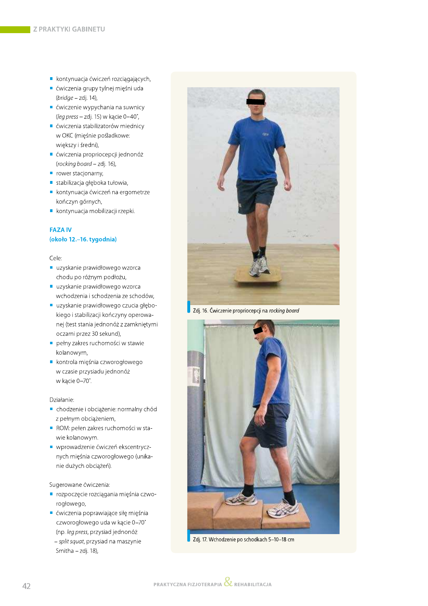- kontynuacja ćwiczeń rozciągających,
- cwiczenia grupy tylnej mięśni uda  $(bridge-zdj. 14)$ ,
- cwiczenie wypychania na suwnicy (leg press - zdj. 15) w kącie 0-40°,
- cwiczenia stabilizatorów miednicy w OKC (mięśnie pośladkowe: większy i średni),
- ćwiczenia propriocepcji jednonóż (rocking board - zdj. 16),
- rower stacjonarny,
- stabilizacja głęboka tułowia,
- kontynuacja ćwiczeń na ergometrze kończyn górnych,
- kontynuacja mobilizacji rzepki.

# **FAZA IV** (około 12.-16. tygodnia)

### Cele:

- uzyskanie prawidłowego wzorca chodu po różnym podłożu,
- uzyskanie prawidłowego wzorca wchodzenia i schodzenia ze schodów,
- uzyskanie prawidłowego czucia głębokiego i stabilizacji kończyny operowanej (test stania jednonóż z zamkniętymi oczami przez 30 sekund),
- pełny zakres ruchomości w stawie kolanowym,
- kontrola mięśnia czworogłowego w czasie przysiadu jednonóż w kącie 0-70°.

## Działanie:

- chodzenie i obciążenie: normalny chód z pełnym obciążeniem,
- ROM: pełen zakres ruchomości w stawie kolanowym.
- wprowadzenie ćwiczeń ekscentrycznych mięśnia czworogłowego (unikanie dużych obciążeń).

- rozpoczęcie rozciągania mięśnia czworogłowego,
- cwiczenia poprawiające siłę mięśnia czworogłowego uda w kącie 0-70° (np. leg press, przysiad jednonóż - split squat, przysiad na maszynie Smitha - zdj. 18),



Zdj. 16. Ćwiczenie propriocepcji na rocking board



Zdj. 17. Wchodzenie po schodkach 5-10-18 cm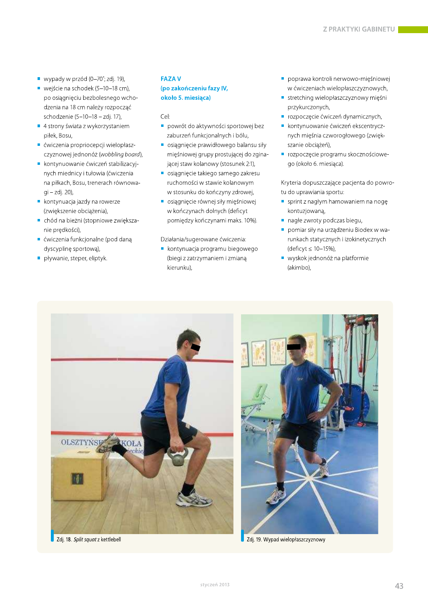- vypady w przód  $(0-70^\circ; zd$ j. 19),
- vejście na schodek (5-10-18 cm), po osiągnięciu bezbolesnego wchodzenia na 18 cm należy rozpocząć schodzenie (5-10-18 - zdj. 17),
- 4 strony świata z wykorzystaniem piłek, Bosu,
- ćwiczenia propriocepcji wielopłaszczyznowej jednonóż (wobbling board),
- kontynuowanie ćwiczeń stabilizacyjnych miednicy i tułowia (ćwiczenia na piłkach, Bosu, trenerach równowagi – zdj. 20),
- kontynuacja jazdy na rowerze (zwiększenie obciążenia),
- chód na bieżni (stopniowe zwiększanie prędkości),
- ćwiczenia funkcjonalne (pod daną dyscypline sportowa),
- pływanie, steper, eliptyk.

# **FAZA V** (po zakończeniu fazy IV, około 5. miesiąca)

Cel:

- powrót do aktywności sportowej bez zaburzeń funkcjonalnych i bólu,
- · osiągnięcie prawidłowego balansu siły mięśniowej grupy prostującej do zginającej staw kolanowy (stosunek 2:1),
- osiągnięcie takiego samego zakresu ruchomości w stawie kolanowym w stosunku do kończyny zdrowej,
- · osiągnięcie równej siły mięśniowej w kończynach dolnych (deficyt pomiędzy kończynami maks. 10%).

Działania/sugerowane ćwiczenia:

kontynuacja programu biegowego (biegi z zatrzymaniem i zmianą kierunku),

- poprawa kontroli nerwowo-mieśniowej w ćwiczeniach wielopłaszczyznowych,
- stretching wielopłaszczyznowy mięśni  $\overline{\phantom{a}}$ przykurczonych,
- rozpoczęcie ćwiczeń dynamicznych,
- kontynuowanie ćwiczeń ekscentrycznych mięśnia czworogłowego (zwiększanie obciążeń),
- rozpoczęcie programu skocznościowego (około 6. miesiąca).

Kryteria dopuszczające pacjenta do powrotu do uprawiania sportu:

- sprint z nagłym hamowaniem na nogę kontuzjowaną,
- nagłe zwroty podczas biegu,
- pomiar siły na urządzeniu Biodex w warunkach statycznych i izokinetycznych (deficyt ≤ 10-15%),
- vyskok jednonóż na platformie (akimbo).



Zdj. 18. *Split squat* z kettlebell



Zdj. 19. Wypad wielopłaszczyznowy